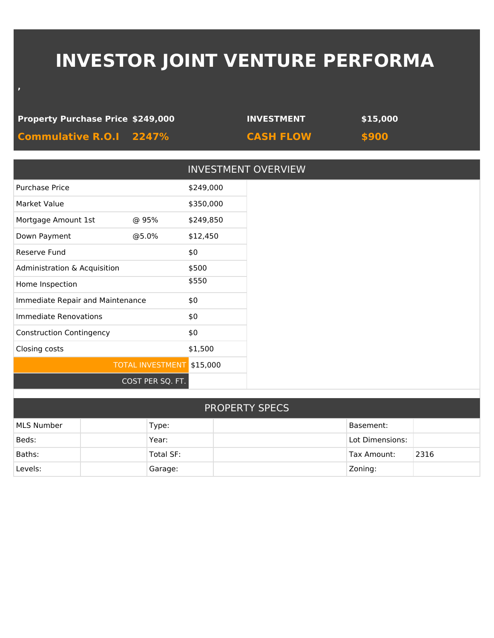# **INVESTOR JOINT VENTURE PERFORMA**

#### **Property Purchase Price \$249,000 INVESTMENT \$15,000**

**,**

**Commulative R.O.I 2247% CASH FLOW \$900**

|                           | <b>INVESTMENT OVERVIEW</b>                                       |
|---------------------------|------------------------------------------------------------------|
|                           | \$249,000                                                        |
|                           | \$350,000                                                        |
| @ 95%                     | \$249,850                                                        |
| @5.0%                     | \$12,450                                                         |
|                           | \$0                                                              |
|                           | \$500                                                            |
|                           | \$550                                                            |
|                           | \$0                                                              |
|                           | \$0                                                              |
|                           | \$0                                                              |
|                           | \$1,500                                                          |
| TOTAL INVESTMENT \$15,000 |                                                                  |
| COST PER SQ. FT.          |                                                                  |
|                           |                                                                  |
|                           | Administration & Acquisition<br>Immediate Repair and Maintenance |

| <b>PROPERTY SPECS</b> |           |  |                 |      |  |
|-----------------------|-----------|--|-----------------|------|--|
| MLS Number            | Type:     |  | Basement:       |      |  |
| Beds:                 | Year:     |  | Lot Dimensions: |      |  |
| Baths:                | Total SF: |  | Tax Amount:     | 2316 |  |
| Levels:               | Garage:   |  | Zoning:         |      |  |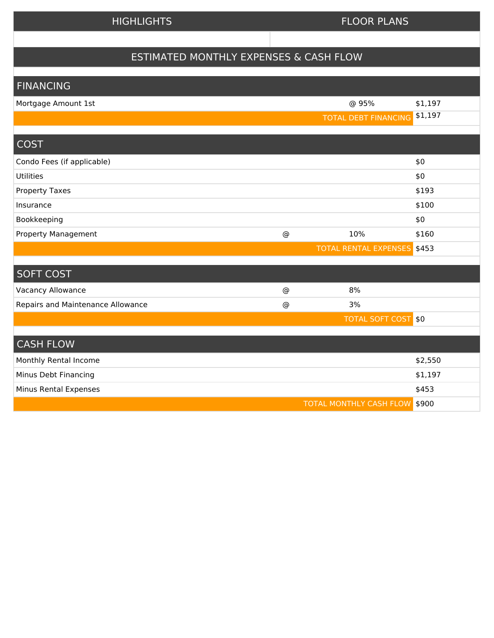#### HIGHLIGHTS **FLOOR PLANS**

## ESTIMATED MONTHLY EXPENSES & CASH FLOW

### FINANCING

| Mortgage Amount 1st               |                 | @ 95%                          | \$1,197 |
|-----------------------------------|-----------------|--------------------------------|---------|
|                                   |                 | <b>TOTAL DEBT FINANCING</b>    | \$1,197 |
|                                   |                 |                                |         |
| <b>COST</b>                       |                 |                                |         |
| Condo Fees (if applicable)        |                 |                                | \$0     |
| <b>Utilities</b>                  |                 |                                | \$0     |
| <b>Property Taxes</b>             |                 |                                | \$193   |
| Insurance                         |                 |                                | \$100   |
| Bookkeeping                       |                 |                                | \$0     |
| Property Management               | $^{\copyright}$ | 10%                            | \$160   |
|                                   |                 | <b>TOTAL RENTAL EXPENSES</b>   | \$453   |
|                                   |                 |                                |         |
| <b>SOFT COST</b>                  |                 |                                |         |
| <b>Vacancy Allowance</b>          | $^{\copyright}$ | 8%                             |         |
| Repairs and Maintenance Allowance | $^{\copyright}$ | 3%                             |         |
|                                   |                 | <b>TOTAL SOFT COST \$0</b>     |         |
|                                   |                 |                                |         |
| <b>CASH FLOW</b>                  |                 |                                |         |
| Monthly Rental Income             |                 |                                | \$2,550 |
| Minus Debt Financing              |                 |                                | \$1,197 |
| Minus Rental Expenses             |                 |                                | \$453   |
|                                   |                 | <b>TOTAL MONTHLY CASH FLOW</b> | \$900   |